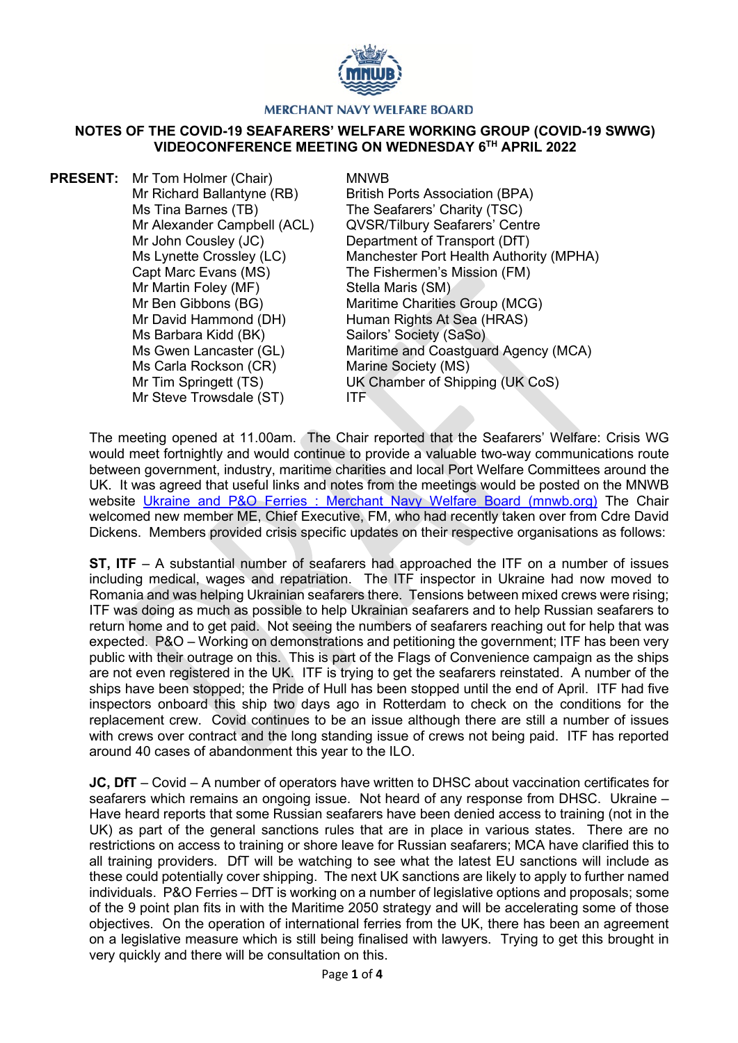

## **MERCHANT NAVY WELFARE BOARD**

## **NOTES OF THE COVID-19 SEAFARERS' WELFARE WORKING GROUP (COVID-19 SWWG) VIDEOCONFERENCE MEETING ON WEDNESDAY 6TH APRIL 2022**

**PRESENT:** Mr Tom Holmer (Chair) Mr Richard Ballantyne (RB) Ms Tina Barnes (TB) Mr Alexander Campbell (ACL) Mr John Cousley (JC) Ms Lynette Crossley (LC) Capt Marc Evans (MS) Mr Martin Foley (MF) Mr Ben Gibbons (BG) Mr David Hammond (DH) Ms Barbara Kidd (BK) Ms Gwen Lancaster (GL) MNWB British Ports Association (BPA) The Seafarers' Charity (TSC) QVSR/Tilbury Seafarers' Centre Department of Transport (DfT) Manchester Port Health Authority (MPHA) The Fishermen's Mission (FM) Stella Maris (SM) Maritime Charities Group (MCG) Human Rights At Sea (HRAS) Sailors' Society (SaSo) Maritime and Coastguard Agency (MCA) Ms Carla Rockson (CR) Mr Tim Springett (TS) Mr Steve Trowsdale (ST) Marine Society (MS) UK Chamber of Shipping (UK CoS) ITF

The meeting opened at 11.00am. The Chair reported that the Seafarers' Welfare: Crisis WG would meet fortnightly and would continue to provide a valuable two-way communications route between government, industry, maritime charities and local Port Welfare Committees around the UK. It was agreed that useful links and notes from the meetings would be posted on the MNWB website [Ukraine and P&O Ferries : Merchant Navy Welfare Board \(mnwb.org\)](https://www.mnwb.org/ukraineandpoferries) The Chair welcomed new member ME, Chief Executive, FM, who had recently taken over from Cdre David Dickens. Members provided crisis specific updates on their respective organisations as follows:

**ST, ITF** – A substantial number of seafarers had approached the ITF on a number of issues including medical, wages and repatriation. The ITF inspector in Ukraine had now moved to Romania and was helping Ukrainian seafarers there. Tensions between mixed crews were rising; ITF was doing as much as possible to help Ukrainian seafarers and to help Russian seafarers to return home and to get paid. Not seeing the numbers of seafarers reaching out for help that was expected. P&O – Working on demonstrations and petitioning the government; ITF has been very public with their outrage on this. This is part of the Flags of Convenience campaign as the ships are not even registered in the UK. ITF is trying to get the seafarers reinstated. A number of the ships have been stopped; the Pride of Hull has been stopped until the end of April. ITF had five inspectors onboard this ship two days ago in Rotterdam to check on the conditions for the replacement crew. Covid continues to be an issue although there are still a number of issues with crews over contract and the long standing issue of crews not being paid. ITF has reported around 40 cases of abandonment this year to the ILO.

**JC, DfT** – Covid – A number of operators have written to DHSC about vaccination certificates for seafarers which remains an ongoing issue. Not heard of any response from DHSC. Ukraine – Have heard reports that some Russian seafarers have been denied access to training (not in the UK) as part of the general sanctions rules that are in place in various states. There are no restrictions on access to training or shore leave for Russian seafarers; MCA have clarified this to all training providers. DfT will be watching to see what the latest EU sanctions will include as these could potentially cover shipping. The next UK sanctions are likely to apply to further named individuals. P&O Ferries – DfT is working on a number of legislative options and proposals; some of the 9 point plan fits in with the Maritime 2050 strategy and will be accelerating some of those objectives. On the operation of international ferries from the UK, there has been an agreement on a legislative measure which is still being finalised with lawyers. Trying to get this brought in very quickly and there will be consultation on this.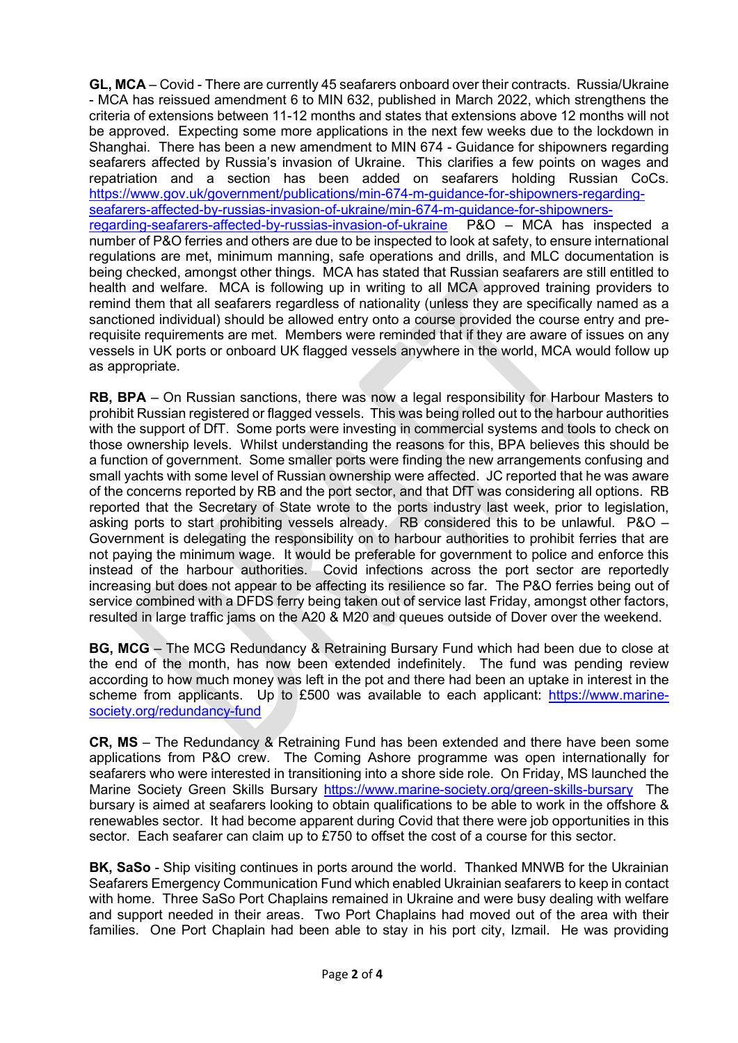**GL, MCA** – Covid - There are currently 45 seafarers onboard over their contracts. Russia/Ukraine - MCA has reissued amendment 6 to MIN 632, published in March 2022, which strengthens the criteria of extensions between 11-12 months and states that extensions above 12 months will not be approved. Expecting some more applications in the next few weeks due to the lockdown in Shanghai. There has been a new amendment to MIN 674 - Guidance for shipowners regarding seafarers affected by Russia's invasion of Ukraine. This clarifies a few points on wages and repatriation and a section has been added on seafarers holding Russian CoCs. [https://www.gov.uk/government/publications/min-674-m-guidance-for-shipowners-regarding](https://www.gov.uk/government/publications/min-674-m-guidance-for-shipowners-regarding-seafarers-affected-by-russias-invasion-of-ukraine/min-674-m-guidance-for-shipowners-regarding-seafarers-affected-by-russias-invasion-of-ukraine)seafarers-affected-by-russias-invasion-of-ukraine/min-674-m-guidance-for-shipowners-<br>regarding-seafarers-affected-by-russias-invasion-of-ukraine P&O – MCA has inspected a regarding-seafarers-affected-by-russias-invasion-of-ukraine number of P&O ferries and others are due to be inspected to look at safety, to ensure international regulations are met, minimum manning, safe operations and drills, and MLC documentation is being checked, amongst other things. MCA has stated that Russian seafarers are still entitled to health and welfare. MCA is following up in writing to all MCA approved training providers to remind them that all seafarers regardless of nationality (unless they are specifically named as a sanctioned individual) should be allowed entry onto a course provided the course entry and prerequisite requirements are met. Members were reminded that if they are aware of issues on any vessels in UK ports or onboard UK flagged vessels anywhere in the world, MCA would follow up as appropriate.

**RB, BPA** – On Russian sanctions, there was now a legal responsibility for Harbour Masters to prohibit Russian registered or flagged vessels. This was being rolled out to the harbour authorities with the support of DfT. Some ports were investing in commercial systems and tools to check on those ownership levels. Whilst understanding the reasons for this, BPA believes this should be a function of government. Some smaller ports were finding the new arrangements confusing and small yachts with some level of Russian ownership were affected. JC reported that he was aware of the concerns reported by RB and the port sector, and that DfT was considering all options. RB reported that the Secretary of State wrote to the ports industry last week, prior to legislation, asking ports to start prohibiting vessels already. RB considered this to be unlawful. P&O – Government is delegating the responsibility on to harbour authorities to prohibit ferries that are not paying the minimum wage. It would be preferable for government to police and enforce this instead of the harbour authorities. Covid infections across the port sector are reportedly increasing but does not appear to be affecting its resilience so far. The P&O ferries being out of service combined with a DFDS ferry being taken out of service last Friday, amongst other factors, resulted in large traffic jams on the A20 & M20 and queues outside of Dover over the weekend.

**BG, MCG** – The MCG Redundancy & Retraining Bursary Fund which had been due to close at the end of the month, has now been extended indefinitely. The fund was pending review according to how much money was left in the pot and there had been an uptake in interest in the scheme from applicants. Up to £500 was available to each applicant: [https://www.marine](https://www.marine-society.org/redundancy-fund)[society.org/redundancy-fund](https://www.marine-society.org/redundancy-fund)

**CR, MS** – The Redundancy & Retraining Fund has been extended and there have been some applications from P&O crew. The Coming Ashore programme was open internationally for seafarers who were interested in transitioning into a shore side role. On Friday, MS launched the Marine Society Green Skills Bursary<https://www.marine-society.org/green-skills-bursary>The bursary is aimed at seafarers looking to obtain qualifications to be able to work in the offshore & renewables sector. It had become apparent during Covid that there were job opportunities in this sector. Each seafarer can claim up to £750 to offset the cost of a course for this sector.

**BK, SaSo** - Ship visiting continues in ports around the world. Thanked MNWB for the Ukrainian Seafarers Emergency Communication Fund which enabled Ukrainian seafarers to keep in contact with home. Three SaSo Port Chaplains remained in Ukraine and were busy dealing with welfare and support needed in their areas. Two Port Chaplains had moved out of the area with their families. One Port Chaplain had been able to stay in his port city, Izmail. He was providing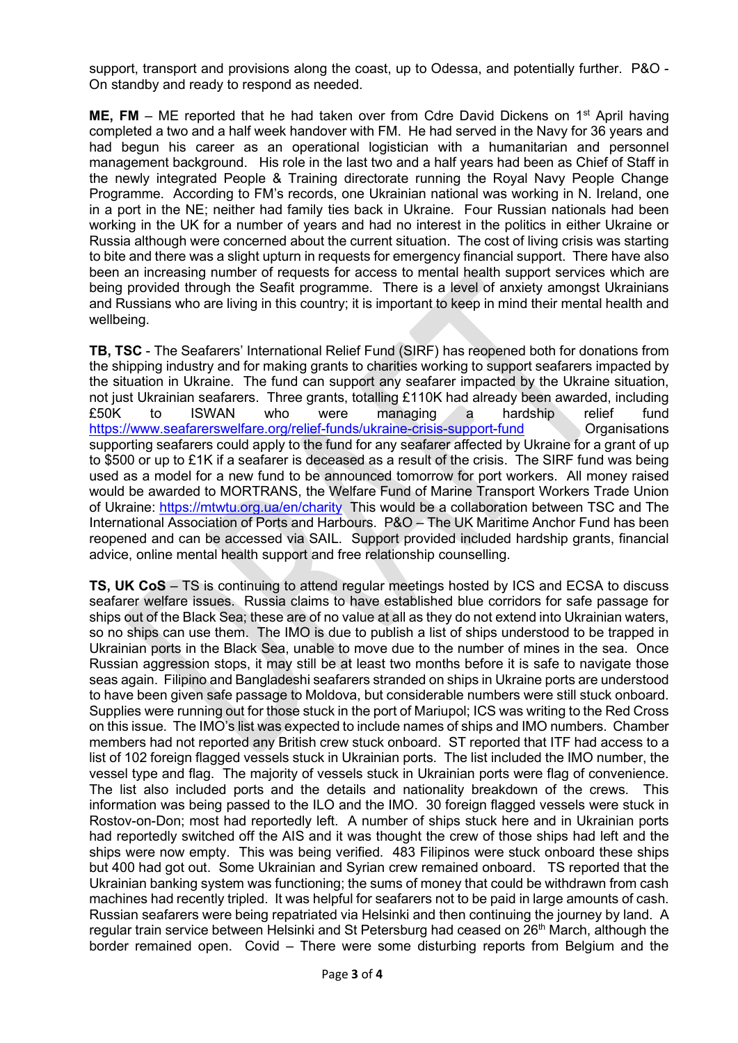support, transport and provisions along the coast, up to Odessa, and potentially further. P&O - On standby and ready to respond as needed.

**ME, FM** – ME reported that he had taken over from Cdre David Dickens on 1<sup>st</sup> April having completed a two and a half week handover with FM. He had served in the Navy for 36 years and had begun his career as an operational logistician with a humanitarian and personnel management background. His role in the last two and a half years had been as Chief of Staff in the newly integrated People & Training directorate running the Royal Navy People Change Programme. According to FM's records, one Ukrainian national was working in N. Ireland, one in a port in the NE; neither had family ties back in Ukraine. Four Russian nationals had been working in the UK for a number of years and had no interest in the politics in either Ukraine or Russia although were concerned about the current situation. The cost of living crisis was starting to bite and there was a slight upturn in requests for emergency financial support. There have also been an increasing number of requests for access to mental health support services which are being provided through the Seafit programme. There is a level of anxiety amongst Ukrainians and Russians who are living in this country; it is important to keep in mind their mental health and wellbeing.

**TB, TSC** - The Seafarers' International Relief Fund (SIRF) has reopened both for donations from the shipping industry and for making grants to charities working to support seafarers impacted by the situation in Ukraine. The fund can support any seafarer impacted by the Ukraine situation, not just Ukrainian seafarers. Three grants, totalling £110K had already been awarded, including £50K to ISWAN who were managing a hardship relief fund <https://www.seafarerswelfare.org/relief-funds/ukraine-crisis-support-fund> Organisations supporting seafarers could apply to the fund for any seafarer affected by Ukraine for a grant of up to \$500 or up to £1K if a seafarer is deceased as a result of the crisis. The SIRF fund was being used as a model for a new fund to be announced tomorrow for port workers. All money raised would be awarded to MORTRANS, the Welfare Fund of Marine Transport Workers Trade Union of Ukraine:<https://mtwtu.org.ua/en/charity>This would be a collaboration between TSC and The International Association of Ports and Harbours. P&O – The UK Maritime Anchor Fund has been reopened and can be accessed via SAIL. Support provided included hardship grants, financial advice, online mental health support and free relationship counselling.

**TS, UK CoS** – TS is continuing to attend regular meetings hosted by ICS and ECSA to discuss seafarer welfare issues. Russia claims to have established blue corridors for safe passage for ships out of the Black Sea; these are of no value at all as they do not extend into Ukrainian waters, so no ships can use them. The IMO is due to publish a list of ships understood to be trapped in Ukrainian ports in the Black Sea, unable to move due to the number of mines in the sea. Once Russian aggression stops, it may still be at least two months before it is safe to navigate those seas again. Filipino and Bangladeshi seafarers stranded on ships in Ukraine ports are understood to have been given safe passage to Moldova, but considerable numbers were still stuck onboard. Supplies were running out for those stuck in the port of Mariupol; ICS was writing to the Red Cross on this issue. The IMO's list was expected to include names of ships and IMO numbers. Chamber members had not reported any British crew stuck onboard. ST reported that ITF had access to a list of 102 foreign flagged vessels stuck in Ukrainian ports. The list included the IMO number, the vessel type and flag. The majority of vessels stuck in Ukrainian ports were flag of convenience. The list also included ports and the details and nationality breakdown of the crews. This information was being passed to the ILO and the IMO. 30 foreign flagged vessels were stuck in Rostov-on-Don; most had reportedly left. A number of ships stuck here and in Ukrainian ports had reportedly switched off the AIS and it was thought the crew of those ships had left and the ships were now empty. This was being verified. 483 Filipinos were stuck onboard these ships but 400 had got out. Some Ukrainian and Syrian crew remained onboard. TS reported that the Ukrainian banking system was functioning; the sums of money that could be withdrawn from cash machines had recently tripled. It was helpful for seafarers not to be paid in large amounts of cash. Russian seafarers were being repatriated via Helsinki and then continuing the journey by land. A regular train service between Helsinki and St Petersburg had ceased on 26<sup>th</sup> March, although the border remained open. Covid – There were some disturbing reports from Belgium and the